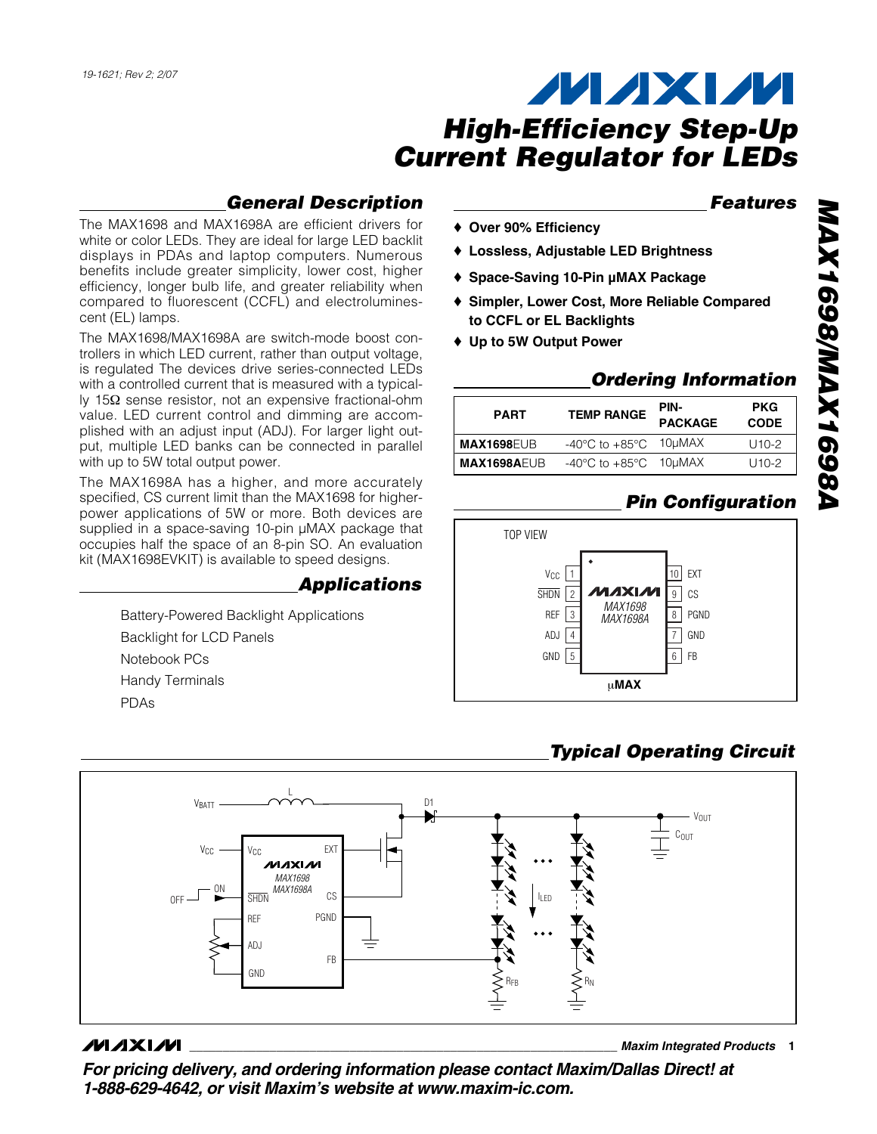## *General Description*

The MAX1698 and MAX1698A are efficient drivers for white or color LEDs. They are ideal for large LED backlit displays in PDAs and laptop computers. Numerous benefits include greater simplicity, lower cost, higher efficiency, longer bulb life, and greater reliability when compared to fluorescent (CCFL) and electroluminescent (EL) lamps.

The MAX1698/MAX1698A are switch-mode boost controllers in which LED current, rather than output voltage, is regulated The devices drive series-connected LEDs with a controlled current that is measured with a typically 15Ω sense resistor, not an expensive fractional-ohm value. LED current control and dimming are accomplished with an adjust input (ADJ). For larger light output, multiple LED banks can be connected in parallel with up to 5W total output power.

The MAX1698A has a higher, and more accurately specified, CS current limit than the MAX1698 for higherpower applications of 5W or more. Both devices are supplied in a space-saving 10-pin  $\mu$ MAX package that occupies half the space of an 8-pin SO. An evaluation kit (MAX1698EVKIT) is available to speed designs.

## *Applications*

Battery-Powered Backlight Applications Backlight for LCD Panels Notebook PCs Handy Terminals PDAs

## *Features*

- ♦ **Over 90% Efficiency**
- ♦ **Lossless, Adjustable LED Brightness**
- ♦ **Space-Saving 10-Pin µMAX Package**
- ♦ **Simpler, Lower Cost, More Reliable Compared to CCFL or EL Backlights**
- ♦ **Up to 5W Output Power**

### *Ordering Information*

| <b>PART</b>       | <b>TEMP RANGE</b>                         | PIN-<br><b>PACKAGE</b> | <b>PKG</b><br><b>CODE</b> |  |
|-------------------|-------------------------------------------|------------------------|---------------------------|--|
| <b>MAX1698EUB</b> | $-40^{\circ}$ C to $+85^{\circ}$ C 10µMAX |                        | $U10-2$                   |  |
| MAX1698AEUB       | $-40^{\circ}$ C to $+85^{\circ}$ C 10µMAX |                        | $U10-2$                   |  |

## *Pin Configuration*



## *Typical Operating Circuit*



## **MAXIM**

**\_\_\_\_\_\_\_\_\_\_\_\_\_\_\_\_\_\_\_\_\_\_\_\_\_\_\_\_\_\_\_\_\_\_\_\_\_\_\_\_\_\_\_\_\_\_\_\_\_\_\_\_\_\_\_\_\_\_\_\_\_\_\_\_** *Maxim Integrated Products* **1**

*For pricing delivery, and ordering information please contact Maxim/Dallas Direct! at 1-888-629-4642, or visit Maxim's website at www.maxim-ic.com.*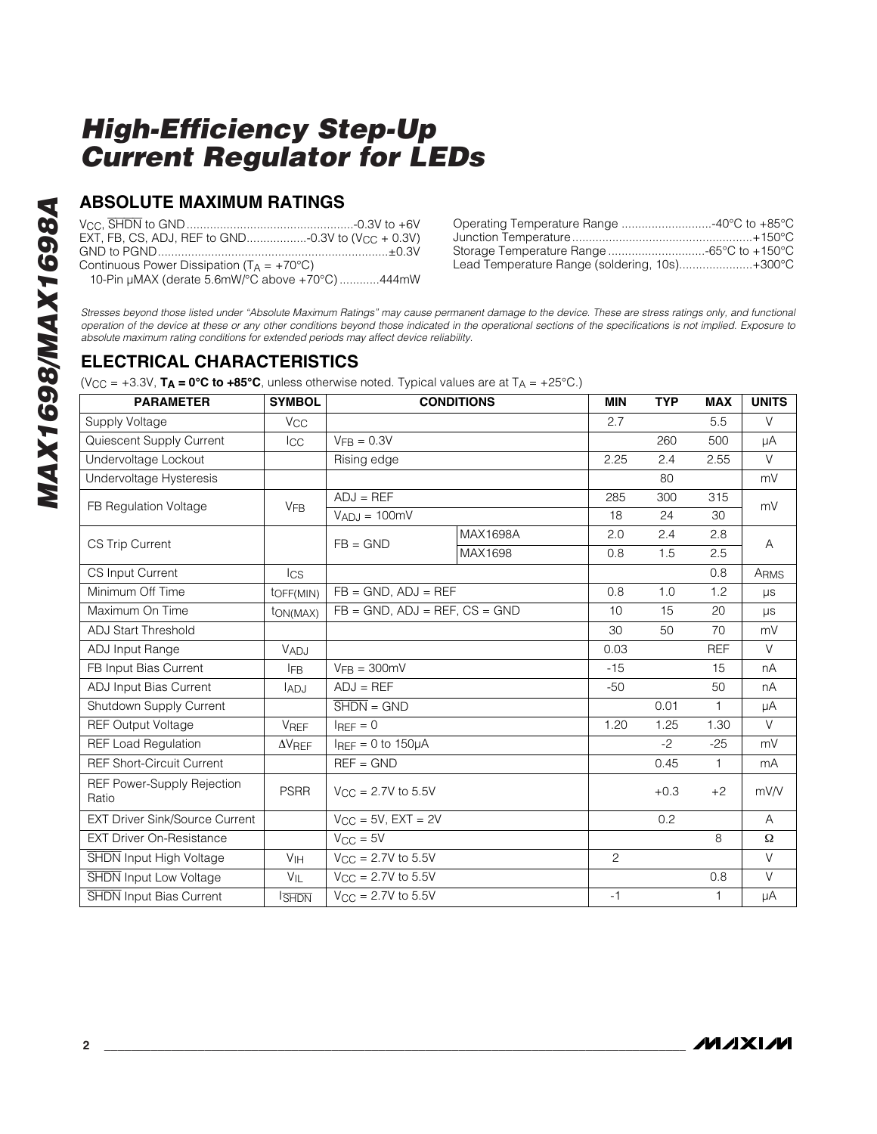### **ABSOLUTE MAXIMUM RATINGS**

| EXT, FB, CS, ADJ, REF to GND-0.3V to (V <sub>CC</sub> + 0.3V) |  |
|---------------------------------------------------------------|--|
|                                                               |  |
| Continuous Power Dissipation ( $T_A = +70^{\circ}C$ )         |  |

10-Pin µMAX (derate 5.6mW/°C above +70°C) ............444mW

| Operating Temperature Range 40°C to +85°C     |  |
|-----------------------------------------------|--|
|                                               |  |
| Storage Temperature Range -65°C to +150°C     |  |
| Lead Temperature Range (soldering, 10s)+300°C |  |

*Stresses beyond those listed under "Absolute Maximum Ratings" may cause permanent damage to the device. These are stress ratings only, and functional operation of the device at these or any other conditions beyond those indicated in the operational sections of the specifications is not implied. Exposure to absolute maximum rating conditions for extended periods may affect device reliability.*

## **ELECTRICAL CHARACTERISTICS**

(V<sub>CC</sub> = +3.3V,  $TA = 0°C$  to +85°C, unless otherwise noted. Typical values are at  $TA = +25°C$ .)

| <b>PARAMETER</b>                           | <b>SYMBOL</b>         | <b>CONDITIONS</b>                     |          | <b>MIN</b>     | <b>TYP</b> | <b>MAX</b>   | <b>UNITS</b> |
|--------------------------------------------|-----------------------|---------------------------------------|----------|----------------|------------|--------------|--------------|
| Supply Voltage                             | V <sub>CC</sub>       |                                       |          | 2.7            |            | 5.5          | $\vee$       |
| Quiescent Supply Current                   | <b>I</b> CC           | $VFB = 0.3V$                          |          |                | 260        | 500          | μA           |
| Undervoltage Lockout                       |                       | Rising edge                           |          | 2.25           | 2.4        | 2.55         | $\vee$       |
| Undervoltage Hysteresis                    |                       |                                       |          |                | 80         |              | mV           |
| FB Regulation Voltage                      | <b>V<sub>FB</sub></b> | $ADJ = REF$                           |          | 285            | 300        | 315          | mV           |
|                                            |                       | $V_{AD,I} = 100mV$                    |          | 18             | 24         | 30           |              |
| <b>CS Trip Current</b>                     |                       | $FB = GND$                            | MAX1698A | 2.0            | 2.4        | 2.8          | A            |
|                                            |                       |                                       | MAX1698  | 0.8            | 1.5        | 2.5          |              |
| CS Input Current                           | $\log$                |                                       |          |                |            | 0.8          | ARMS         |
| Minimum Off Time                           | toff(MIN)             | $FB = GND$ , $ADJ = REF$              |          | 0.8            | 1.0        | 1.2          | $\mu s$      |
| Maximum On Time                            | ton(MAX)              | $FB = GND$ , $ADJ = REF$ , $CS = GND$ |          | 10             | 15         | 20           | $\mu s$      |
| <b>ADJ Start Threshold</b>                 |                       |                                       |          |                | 50         | 70           | mV           |
| ADJ Input Range                            | VADJ                  |                                       |          | 0.03           |            | <b>REF</b>   | $\vee$       |
| FB Input Bias Current                      | <b>IFB</b>            | $V_{\text{FR}} = 300 \text{mV}$       |          | $-15$          |            | 15           | nA           |
| ADJ Input Bias Current                     | ladj                  | $ADJ = REF$                           |          | $-50$          |            | 50           | nA           |
| Shutdown Supply Current                    |                       | $\overline{\text{SHDN}} = \text{GND}$ |          |                | 0.01       | $\mathbf{1}$ | μA           |
| <b>REF Output Voltage</b>                  | VREF                  | $I_{\text{RFF}} = 0$                  |          | 1.20           | 1.25       | 1.30         | $\vee$       |
| <b>REF Load Regulation</b>                 | $\Delta V$ REF        | $I_{\text{RFF}} = 0$ to 150 $\mu$ A   |          |                | $-2$       | $-25$        | mV           |
| <b>REF Short-Circuit Current</b>           |                       | $REF = GND$                           |          |                | 0.45       | $\mathbf{1}$ | mA           |
| <b>REF Power-Supply Rejection</b><br>Ratio | <b>PSRR</b>           | $V_{\text{CC}} = 2.7V$ to 5.5V        |          |                | $+0.3$     | $+2$         | mV/V         |
| <b>EXT Driver Sink/Source Current</b>      |                       | $V_{CC}$ = 5V, EXT = 2V               |          |                | 0.2        |              | A            |
| <b>EXT Driver On-Resistance</b>            |                       | $V_{CC} = 5V$                         |          |                |            | 8            | Ω            |
| <b>SHDN</b> Input High Voltage             | V <sub>IH</sub>       | $V_{CC} = 2.7V$ to 5.5V               |          | $\overline{c}$ |            |              | $\vee$       |
| <b>SHDN</b> Input Low Voltage              | $V_{IL}$              | $V_{CC} = 2.7V$ to 5.5V               |          |                |            | 0.8          | $\vee$       |
| <b>SHDN</b> Input Bias Current             | <b>ISHDN</b>          | $V_{\text{CC}} = 2.7V$ to 5.5V        |          | $-1$           |            | 1            | μA           |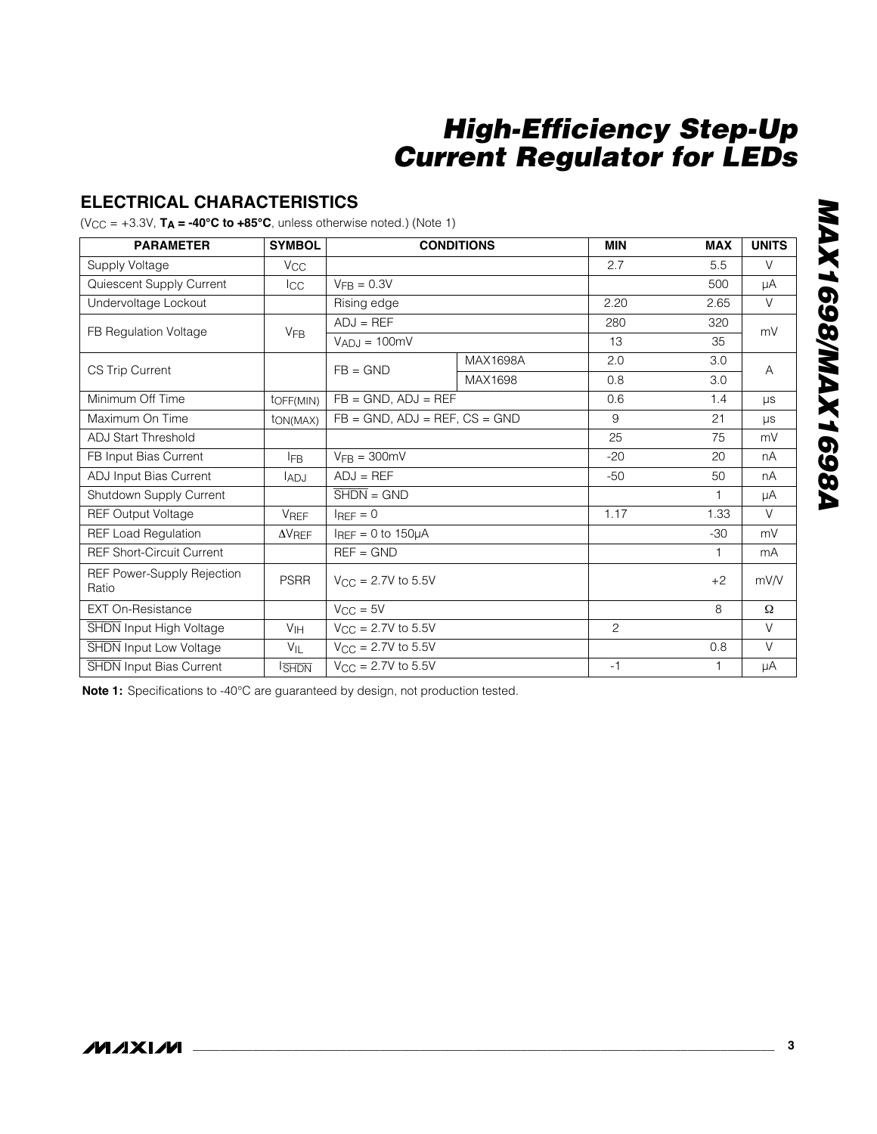## **ELECTRICAL CHARACTERISTICS**

 $(V_{CC} = +3.3V, T_A = -40^{\circ}C \text{ to } +85^{\circ}C$ , unless otherwise noted.) (Note 1)

| <b>PARAMETER</b>                    | <b>SYMBOL</b>         | <b>CONDITIONS</b>                     |                                       | <b>MIN</b> | <b>MAX</b>   | <b>UNITS</b> |
|-------------------------------------|-----------------------|---------------------------------------|---------------------------------------|------------|--------------|--------------|
| Supply Voltage                      | $V_{\rm CC}$          |                                       |                                       | 2.7        | 5.5          | $\vee$       |
| Quiescent Supply Current            | Icc                   | $VFB = 0.3V$                          |                                       |            | 500          | μA           |
| Undervoltage Lockout                |                       | Rising edge                           |                                       | 2.20       | 2.65         | $\vee$       |
| FB Regulation Voltage               | <b>V<sub>FB</sub></b> | $ADJ = REF$                           |                                       | 280        | 320          | mV           |
|                                     |                       | $V_{AD,I} = 100mV$                    |                                       | 13         | 35           |              |
| <b>CS Trip Current</b>              |                       | $FB = GND$                            | MAX1698A                              | 2.0        | 3.0          | A            |
|                                     |                       |                                       | MAX1698                               | 0.8        | 3.0          |              |
| Minimum Off Time                    | toFF(MIN)             |                                       | $FB = GND$ , $ADJ = REF$              |            | 1.4          | <b>US</b>    |
| Maximum On Time                     | t <sub>ON</sub> (MAX) |                                       | $FB = GND$ , $ADJ = REF$ , $CS = GND$ |            | 21           | $\mu s$      |
| <b>ADJ Start Threshold</b>          |                       |                                       |                                       | 25         | 75           | mV           |
| FB Input Bias Current               | <b>IFB</b>            | $VFB = 300mV$                         |                                       | $-20$      | 20           | nA           |
| ADJ Input Bias Current              | IADJ                  | $ADJ = REF$                           |                                       | $-50$      | 50           | nA           |
| Shutdown Supply Current             |                       | $\overline{\text{SHDN}} = \text{GND}$ |                                       |            | $\mathbf{1}$ | μA           |
| <b>REF Output Voltage</b>           | <b>VREF</b>           | $I_{\text{RFF}} = 0$                  |                                       | 1.17       | 1.33         | $\vee$       |
| <b>REF Load Regulation</b>          | $\Delta V_{REF}$      | $I_{REF} = 0$ to 150 $\mu$ A          |                                       |            | $-30$        | mV           |
| <b>REF Short-Circuit Current</b>    |                       | $REF = GND$                           |                                       |            | 1            | mA           |
| REF Power-Supply Rejection<br>Ratio | <b>PSRR</b>           | $V_{\rm CC}$ = 2.7V to 5.5V           |                                       |            | $+2$         | mV/V         |
| <b>EXT On-Resistance</b>            |                       | $V_{CC} = 5V$                         |                                       |            | 8            | Ω            |
| SHDN Input High Voltage             | V <sub>IH</sub>       | $V_{\rm CC}$ = 2.7V to 5.5V           |                                       | 2          |              | $\vee$       |
| <b>SHDN</b> Input Low Voltage       | $V_{IL}$              | $V_{CC} = 2.7V$ to 5.5V               |                                       |            | 0.8          | $\vee$       |
| <b>SHDN</b> Input Bias Current      | <b>ISHDN</b>          | $V_{CC} = 2.7V$ to 5.5V               |                                       | $-1$       | 1            | μA           |

**Note 1:** Specifications to -40°C are guaranteed by design, not production tested.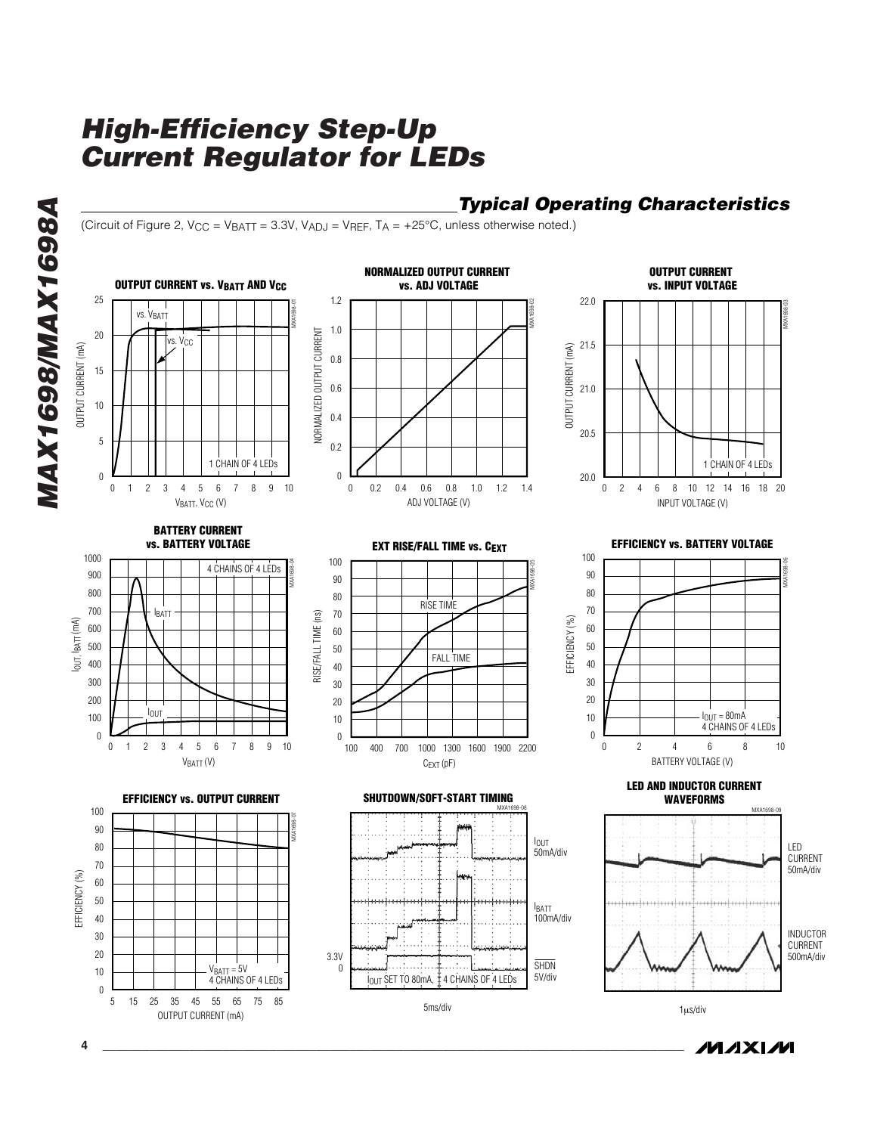## *Typical Operating Characteristics*

(Circuit of Figure 2,  $V_{CC} = V_{BAT} = 3.3V$ ,  $V_{ADJ} = V_{REF}$ ,  $T_A = +25^{\circ}C$ , unless otherwise noted.)



**MAXIM** 

**4 \_\_\_\_\_\_\_\_\_\_\_\_\_\_\_\_\_\_\_\_\_\_\_\_\_\_\_\_\_\_\_\_\_\_\_\_\_\_\_\_\_\_\_\_\_\_\_\_\_\_\_\_\_\_\_\_\_\_\_\_\_\_\_\_\_\_\_\_\_\_\_\_\_\_\_\_\_\_\_\_\_\_\_\_\_\_\_**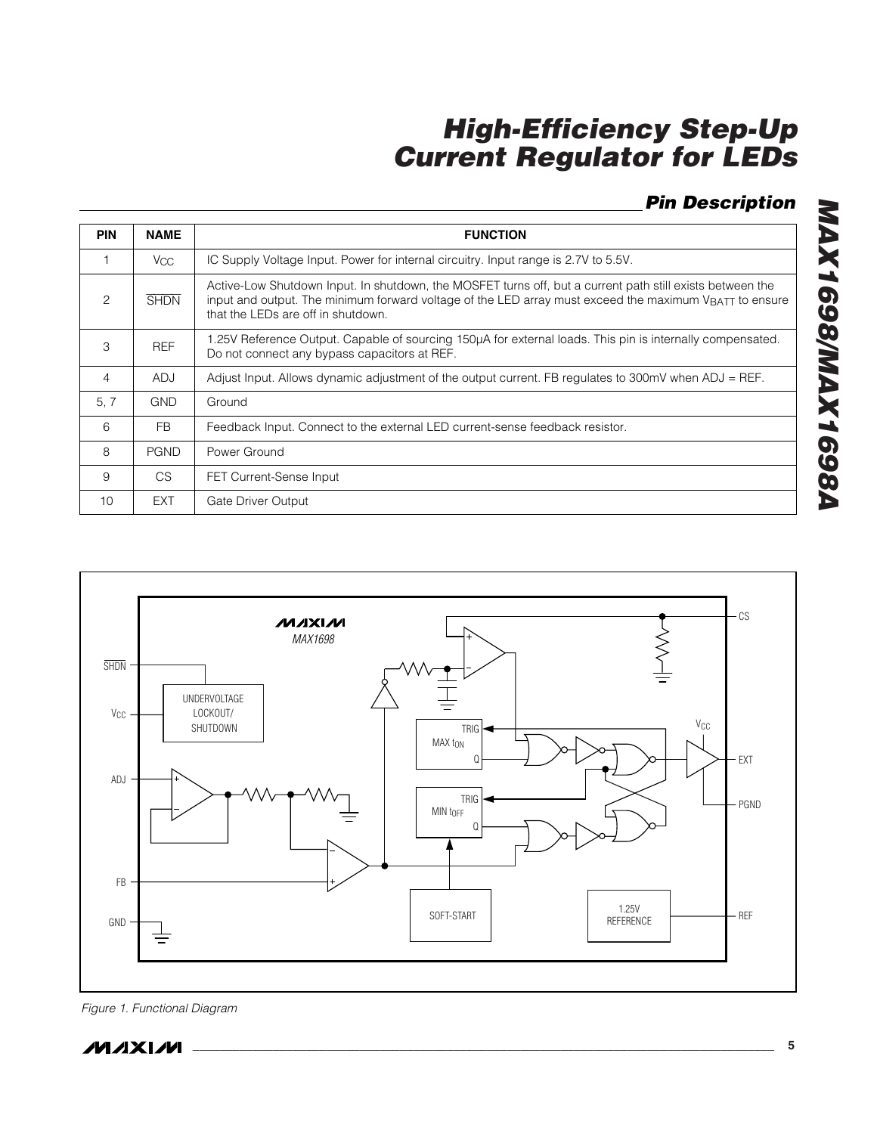## *Pin Description*

*MAX1698/MAX1698A*

MAX1698/MAX1698A

| <b>PIN</b>    | <b>NAME</b>     | <b>FUNCTION</b>                                                                                                                                                                                                                                                       |
|---------------|-----------------|-----------------------------------------------------------------------------------------------------------------------------------------------------------------------------------------------------------------------------------------------------------------------|
|               | V <sub>CC</sub> | IC Supply Voltage Input. Power for internal circuitry. Input range is 2.7V to 5.5V.                                                                                                                                                                                   |
| $\mathcal{P}$ | <b>SHDN</b>     | Active-Low Shutdown Input. In shutdown, the MOSFET turns off, but a current path still exists between the<br>input and output. The minimum forward voltage of the LED array must exceed the maximum V <sub>BATT</sub> to ensure<br>that the LEDs are off in shutdown. |
| 3             | <b>REF</b>      | 1.25V Reference Output. Capable of sourcing 150µA for external loads. This pin is internally compensated.<br>Do not connect any bypass capacitors at REF.                                                                                                             |
| 4             | <b>ADJ</b>      | Adjust Input. Allows dynamic adjustment of the output current. FB regulates to 300mV when ADJ = REF.                                                                                                                                                                  |
| 5, 7          | <b>GND</b>      | Ground                                                                                                                                                                                                                                                                |
| 6             | <b>FB</b>       | Feedback Input. Connect to the external LED current-sense feedback resistor.                                                                                                                                                                                          |
| 8             | <b>PGND</b>     | Power Ground                                                                                                                                                                                                                                                          |
| 9             | CS              | <b>FET Current-Sense Input</b>                                                                                                                                                                                                                                        |
| 10            | EXT             | Gate Driver Output                                                                                                                                                                                                                                                    |



*\_\_\_\_\_\_\_\_\_\_\_\_\_\_\_\_\_\_\_\_\_\_\_\_\_\_\_\_\_\_\_\_\_\_\_\_\_\_\_\_\_\_\_\_\_\_\_\_\_\_\_\_\_\_\_\_\_\_\_\_\_\_\_\_\_\_\_\_\_\_\_\_\_\_\_\_\_\_\_\_\_\_\_\_\_\_\_* **5**

*Figure 1. Functional Diagram*

**MAXIM**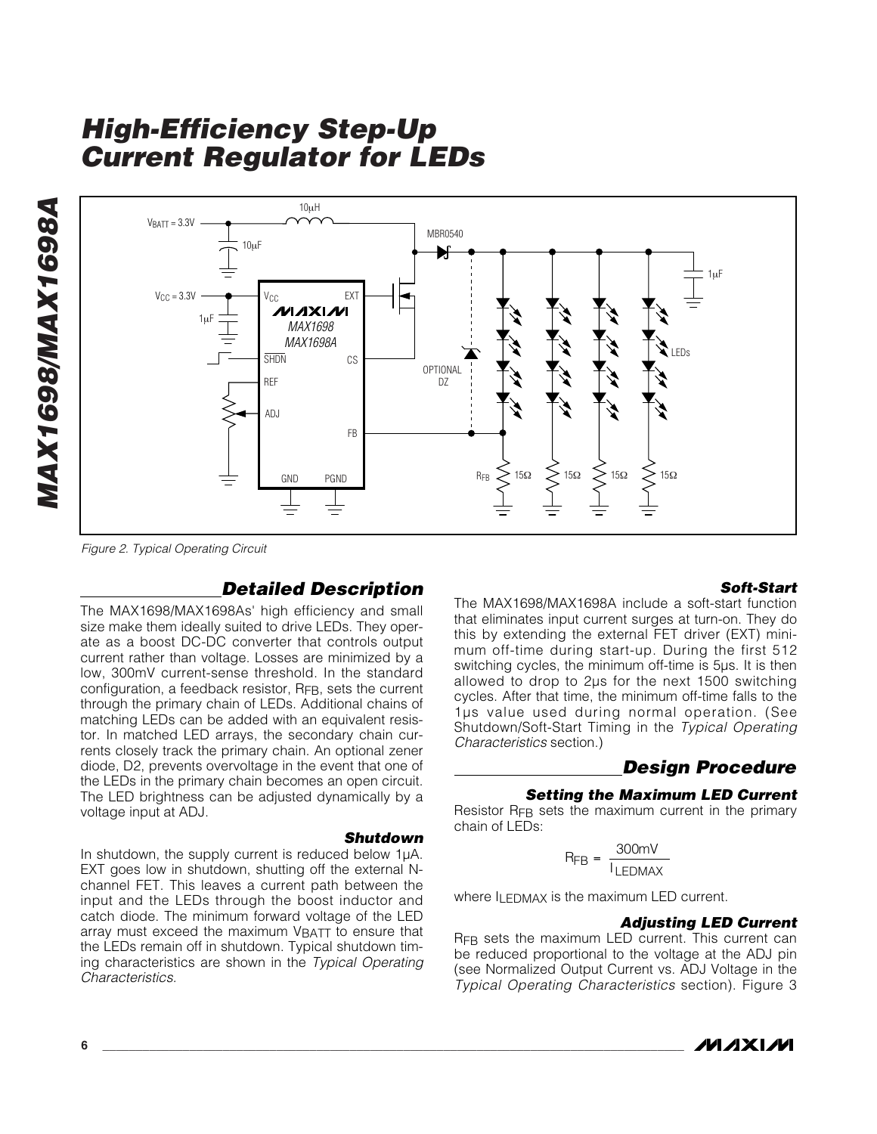

*Figure 2. Typical Operating Circuit*

## *Detailed Description*

The MAX1698/MAX1698As' high efficiency and small size make them ideally suited to drive LEDs. They operate as a boost DC-DC converter that controls output current rather than voltage. Losses are minimized by a low, 300mV current-sense threshold. In the standard configuration, a feedback resistor, R<sub>FB</sub>, sets the current through the primary chain of LEDs. Additional chains of matching LEDs can be added with an equivalent resistor. In matched LED arrays, the secondary chain currents closely track the primary chain. An optional zener diode, D2, prevents overvoltage in the event that one of the LEDs in the primary chain becomes an open circuit. The LED brightness can be adjusted dynamically by a voltage input at ADJ.

#### *Shutdown*

In shutdown, the supply current is reduced below 1µA. EXT goes low in shutdown, shutting off the external Nchannel FET. This leaves a current path between the input and the LEDs through the boost inductor and catch diode. The minimum forward voltage of the LED array must exceed the maximum VBATT to ensure that the LEDs remain off in shutdown. Typical shutdown timing characteristics are shown in the *Typical Operating Characteristics.*

#### *Soft-Start*

The MAX1698/MAX1698A include a soft-start function that eliminates input current surges at turn-on. They do this by extending the external FET driver (EXT) minimum off-time during start-up. During the first 512 switching cycles, the minimum off-time is 5µs. It is then allowed to drop to 2µs for the next 1500 switching cycles. After that time, the minimum off-time falls to the 1µs value used during normal operation. (See Shutdown/Soft-Start Timing in the *Typical Operating Characteristics* section.)

#### *Design Procedure*

#### *Setting the Maximum LED Current*

Resistor RFB sets the maximum current in the primary chain of LEDs:

$$
R_{FB} = \frac{300 \text{mV}}{I_{LEDMAX}}
$$

where ILEDMAX is the maximum LED current.

#### *Adjusting LED Current*

RFB sets the maximum LED current. This current can be reduced proportional to the voltage at the ADJ pin (see Normalized Output Current vs. ADJ Voltage in the *Typical Operating Characteristics* section). Figure 3

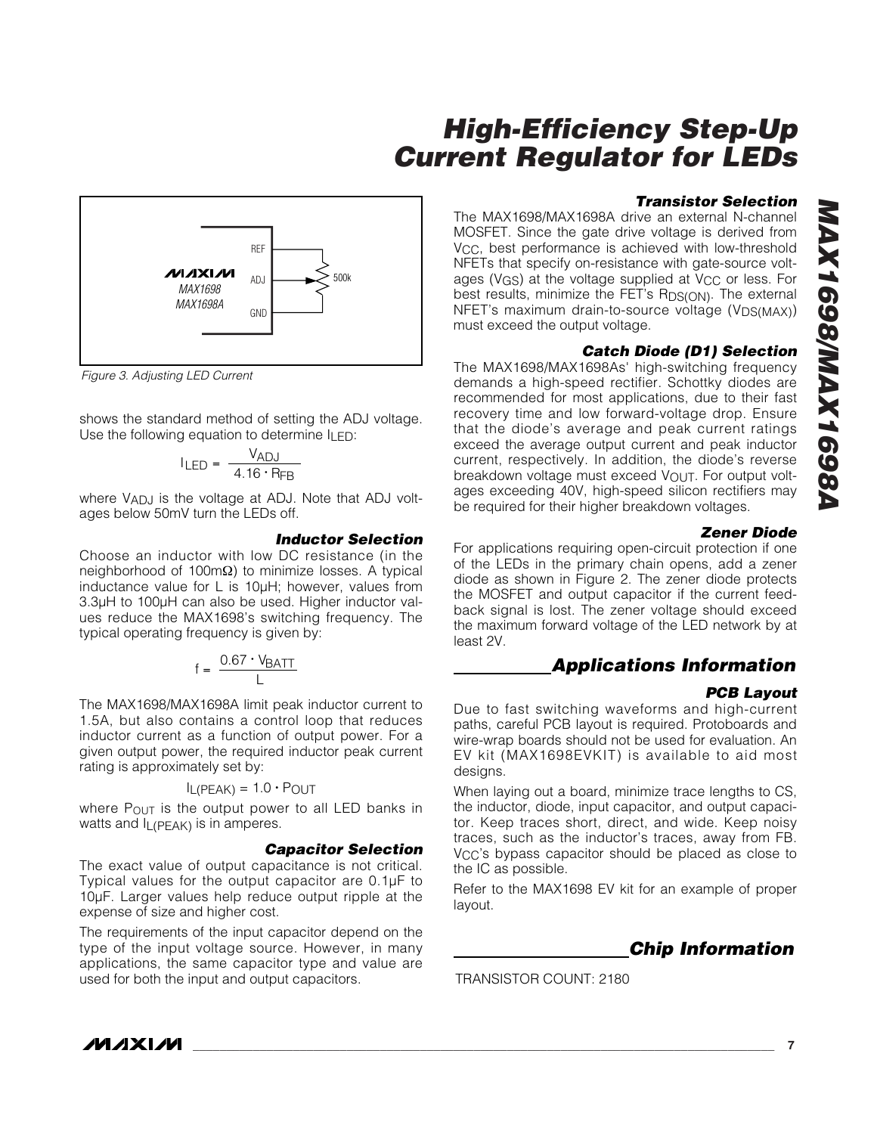

*Figure 3. Adjusting LED Current*

shows the standard method of setting the ADJ voltage. Use the following equation to determine  $I_{\text{LED}}$ :

$$
I_{LED} = \frac{V_{ADJ}}{4.16 \cdot R_{FB}}
$$

where V<sub>ADJ</sub> is the voltage at ADJ. Note that ADJ voltages below 50mV turn the LEDs off.

#### *Inductor Selection*

Choose an inductor with low DC resistance (in the neighborhood of 100mΩ) to minimize losses. A typical inductance value for L is 10µH; however, values from 3.3µH to 100µH can also be used. Higher inductor values reduce the MAX1698's switching frequency. The typical operating frequency is given by:

$$
f = \frac{0.67 \cdot V_{BATT}}{L}
$$

The MAX1698/MAX1698A limit peak inductor current to 1.5A, but also contains a control loop that reduces inductor current as a function of output power. For a given output power, the required inductor peak current rating is approximately set by:

$$
I_{L(PEAK)} = 1.0 \cdot P_{OUT}
$$

where  $P_{\text{OUT}}$  is the output power to all LED banks in watts and IL(PEAK) is in amperes.

#### *Capacitor Selection*

The exact value of output capacitance is not critical. Typical values for the output capacitor are 0.1µF to 10µF. Larger values help reduce output ripple at the expense of size and higher cost.

The requirements of the input capacitor depend on the type of the input voltage source. However, in many applications, the same capacitor type and value are used for both the input and output capacitors.

#### *Transistor Selection*

The MAX1698/MAX1698A drive an external N-channel MOSFET. Since the gate drive voltage is derived from V<sub>CC</sub>, best performance is achieved with low-threshold NFETs that specify on-resistance with gate-source voltages (V<sub>GS</sub>) at the voltage supplied at V<sub>CC</sub> or less. For best results, minimize the FET's RDS(ON). The external NFET's maximum drain-to-source voltage (V<sub>DS(MAX)</sub>) must exceed the output voltage.

#### *Catch Diode (D1) Selection*

The MAX1698/MAX1698As' high-switching frequency demands a high-speed rectifier. Schottky diodes are recommended for most applications, due to their fast recovery time and low forward-voltage drop. Ensure that the diode's average and peak current ratings exceed the average output current and peak inductor current, respectively. In addition, the diode's reverse breakdown voltage must exceed  $V_{\text{OUT}}$ . For output voltages exceeding 40V, high-speed silicon rectifiers may be required for their higher breakdown voltages.

#### *Zener Diode*

For applications requiring open-circuit protection if one of the LEDs in the primary chain opens, add a zener diode as shown in Figure 2. The zener diode protects the MOSFET and output capacitor if the current feedback signal is lost. The zener voltage should exceed the maximum forward voltage of the LED network by at least 2V.

#### *Applications Information*

#### *PCB Layout*

Due to fast switching waveforms and high-current paths, careful PCB layout is required. Protoboards and wire-wrap boards should not be used for evaluation. An EV kit (MAX1698EVKIT) is available to aid most designs.

When laying out a board, minimize trace lengths to CS, the inductor, diode, input capacitor, and output capacitor. Keep traces short, direct, and wide. Keep noisy traces, such as the inductor's traces, away from FB. V<sub>CC</sub>'s bypass capacitor should be placed as close to the IC as possible.

Refer to the MAX1698 EV kit for an example of proper layout.



TRANSISTOR COUNT: 2180